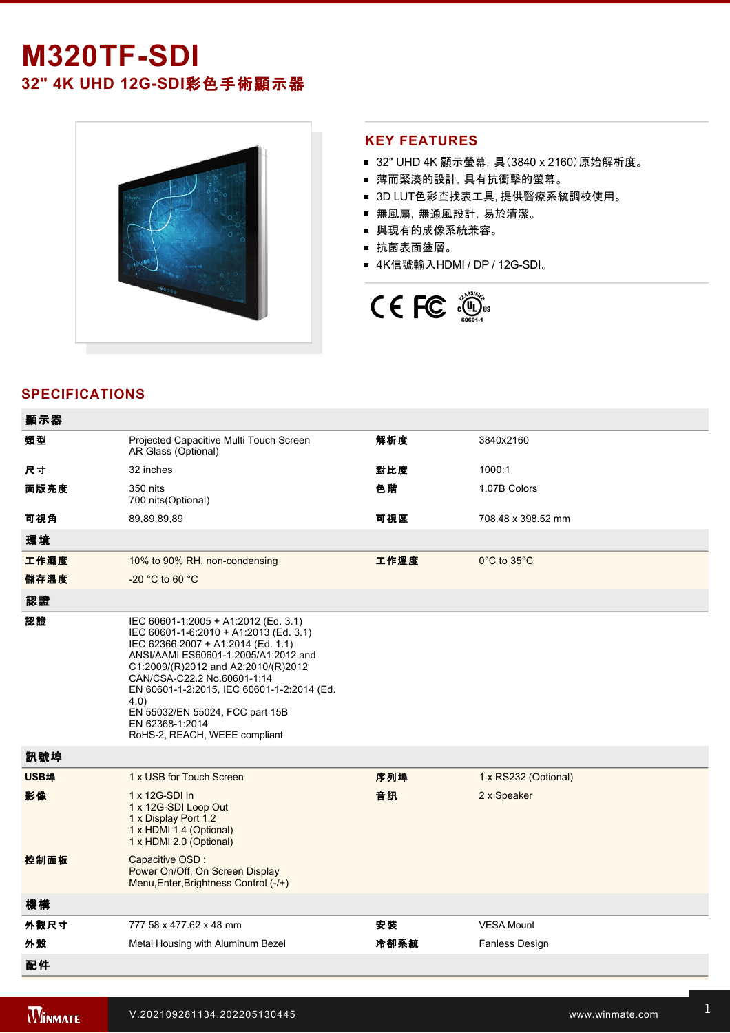# **M320TF-SDI 32" 4K UHD 12G-SDI彩色手術顯示器**



#### **KEY FEATURES**

- 32" UHD 4K 顯示螢幕, 具(3840 x 2160)原始解析度。
- 薄而緊湊的設計,具有抗衝擊的螢幕。
- 3D LUT色彩查找表工具, 提供醫療系統調校使用。
- 無風扇, 無通風設計, 易於清潔。
- 與現有的成像系統兼容。
- 抗菌表面塗層。
- 4K信號輸入HDMI / DP / 12G-SDI。



## **SPECIFICATIONS**

| 顯示器  |                                                                                                                                                                                                                                                                                                                                                                                 |      |                       |
|------|---------------------------------------------------------------------------------------------------------------------------------------------------------------------------------------------------------------------------------------------------------------------------------------------------------------------------------------------------------------------------------|------|-----------------------|
| 類型   | Projected Capacitive Multi Touch Screen<br>AR Glass (Optional)                                                                                                                                                                                                                                                                                                                  | 解析度  | 3840x2160             |
| 尺寸   | 32 inches                                                                                                                                                                                                                                                                                                                                                                       | 對比度  | 1000:1                |
| 面版亮度 | 350 nits<br>700 nits(Optional)                                                                                                                                                                                                                                                                                                                                                  | 色階   | 1.07B Colors          |
| 可視角  | 89,89,89,89                                                                                                                                                                                                                                                                                                                                                                     | 可視區  | 708.48 x 398.52 mm    |
| 環境   |                                                                                                                                                                                                                                                                                                                                                                                 |      |                       |
| 工作濕度 | 10% to 90% RH, non-condensing                                                                                                                                                                                                                                                                                                                                                   | 工作溫度 | 0°C to 35°C           |
| 儲存溫度 | $-20$ °C to 60 °C                                                                                                                                                                                                                                                                                                                                                               |      |                       |
| 認證   |                                                                                                                                                                                                                                                                                                                                                                                 |      |                       |
| 認證   | IEC 60601-1:2005 + A1:2012 (Ed. 3.1)<br>IEC 60601-1-6:2010 + A1:2013 (Ed. 3.1)<br>IEC 62366:2007 + A1:2014 (Ed. 1.1)<br>ANSI/AAMI ES60601-1:2005/A1:2012 and<br>C1:2009/(R)2012 and A2:2010/(R)2012<br>CAN/CSA-C22.2 No.60601-1:14<br>EN 60601-1-2:2015, IEC 60601-1-2:2014 (Ed.<br>4.0)<br>EN 55032/EN 55024, FCC part 15B<br>EN 62368-1:2014<br>RoHS-2, REACH, WEEE compliant |      |                       |
| 訊號埠  |                                                                                                                                                                                                                                                                                                                                                                                 |      |                       |
| USB埠 | 1 x USB for Touch Screen                                                                                                                                                                                                                                                                                                                                                        | 序列埠  | 1 x RS232 (Optional)  |
| 影像   | 1 x 12G-SDI In<br>1 x 12G-SDI Loop Out<br>1 x Display Port 1.2<br>1 x HDMI 1.4 (Optional)<br>1 x HDMI 2.0 (Optional)                                                                                                                                                                                                                                                            | 音訊   | 2 x Speaker           |
| 控制面板 | Capacitive OSD :<br>Power On/Off, On Screen Display<br>Menu, Enter, Brightness Control (-/+)                                                                                                                                                                                                                                                                                    |      |                       |
| 機構   |                                                                                                                                                                                                                                                                                                                                                                                 |      |                       |
| 外觀尺寸 | 777.58 x 477.62 x 48 mm                                                                                                                                                                                                                                                                                                                                                         | 安装   | <b>VESA Mount</b>     |
| 外殼   | Metal Housing with Aluminum Bezel                                                                                                                                                                                                                                                                                                                                               | 冷卻系統 | <b>Fanless Design</b> |
| 配件   |                                                                                                                                                                                                                                                                                                                                                                                 |      |                       |

1 x HDMI cable to the control of the control of the control of the control of the control of the control of th<br>1 x HDMI cable to the control of the control of the control of the control of the control of the control of th

配件選配 Remote Controller (Optional,Varies by product)